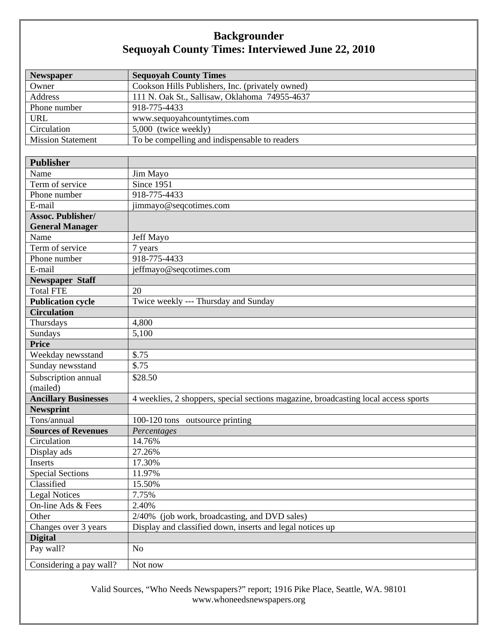## **Backgrounder Sequoyah County Times: Interviewed June 22, 2010**

| Newspaper                   | <b>Sequoyah County Times</b>                                                        |
|-----------------------------|-------------------------------------------------------------------------------------|
| Owner                       | Cookson Hills Publishers, Inc. (privately owned)                                    |
| <b>Address</b>              | 111 N. Oak St., Sallisaw, Oklahoma 74955-4637                                       |
| Phone number                | 918-775-4433                                                                        |
| <b>URL</b>                  | www.sequoyahcountytimes.com                                                         |
| Circulation                 | 5,000 (twice weekly)                                                                |
| <b>Mission Statement</b>    | To be compelling and indispensable to readers                                       |
|                             |                                                                                     |
| <b>Publisher</b>            |                                                                                     |
| Name                        | Jim Mayo                                                                            |
| Term of service             | Since 1951                                                                          |
| Phone number                | 918-775-4433                                                                        |
| E-mail                      | jimmayo@seqcotimes.com                                                              |
| Assoc. Publisher/           |                                                                                     |
| <b>General Manager</b>      |                                                                                     |
| Name                        | Jeff Mayo                                                                           |
| Term of service             | 7 years                                                                             |
| Phone number                | 918-775-4433                                                                        |
| E-mail                      | jeffmayo@seqcotimes.com                                                             |
| <b>Newspaper Staff</b>      |                                                                                     |
| Total FTE                   | 20                                                                                  |
| <b>Publication cycle</b>    | Twice weekly --- Thursday and Sunday                                                |
| <b>Circulation</b>          |                                                                                     |
| Thursdays                   | 4,800                                                                               |
| Sundays                     | 5,100                                                                               |
| <b>Price</b>                |                                                                                     |
| Weekday newsstand           | \$.75                                                                               |
| Sunday newsstand            | \$.75                                                                               |
| Subscription annual         | \$28.50                                                                             |
| (mailed)                    |                                                                                     |
| <b>Ancillary Businesses</b> | 4 weeklies, 2 shoppers, special sections magazine, broadcasting local access sports |
| <b>Newsprint</b>            |                                                                                     |
| Tons/annual                 | 100-120 tons outsource printing                                                     |
| <b>Sources of Revenues</b>  | Percentages                                                                         |
| Circulation                 | 14.76%                                                                              |
| Display ads                 | 27.26%                                                                              |
| Inserts                     | 17.30%                                                                              |
| <b>Special Sections</b>     | 11.97%                                                                              |
| Classified                  | 15.50%                                                                              |
| <b>Legal Notices</b>        | 7.75%                                                                               |
| On-line Ads & Fees          | 2.40%                                                                               |
| Other                       | 2/40% (job work, broadcasting, and DVD sales)                                       |
| Changes over 3 years        | Display and classified down, inserts and legal notices up                           |
| <b>Digital</b>              |                                                                                     |
| Pay wall?                   | No                                                                                  |
| Considering a pay wall?     | Not now                                                                             |

Valid Sources, "Who Needs Newspapers?" report; 1916 Pike Place, Seattle, WA. 98101 www.whoneedsnewspapers.org